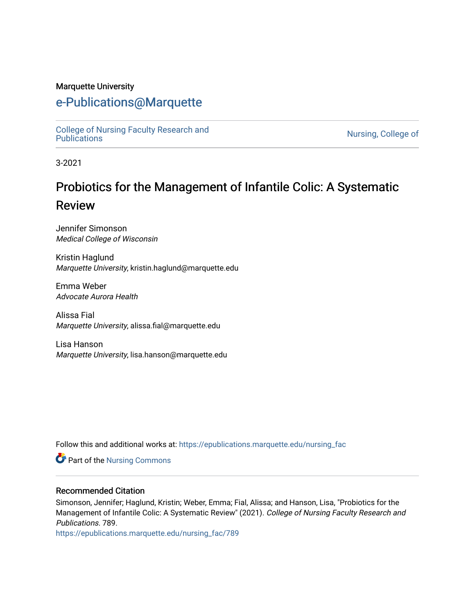#### Marquette University

## [e-Publications@Marquette](https://epublications.marquette.edu/)

[College of Nursing Faculty Research and](https://epublications.marquette.edu/nursing_fac)<br>Publications

Nursing, College of

3-2021

# Probiotics for the Management of Infantile Colic: A Systematic Review

Jennifer Simonson Medical College of Wisconsin

Kristin Haglund Marquette University, kristin.haglund@marquette.edu

Emma Weber Advocate Aurora Health

Alissa Fial Marquette University, alissa.fial@marquette.edu

Lisa Hanson Marquette University, lisa.hanson@marquette.edu

Follow this and additional works at: [https://epublications.marquette.edu/nursing\\_fac](https://epublications.marquette.edu/nursing_fac?utm_source=epublications.marquette.edu%2Fnursing_fac%2F789&utm_medium=PDF&utm_campaign=PDFCoverPages)

**Part of the Nursing Commons** 

#### Recommended Citation

Simonson, Jennifer; Haglund, Kristin; Weber, Emma; Fial, Alissa; and Hanson, Lisa, "Probiotics for the Management of Infantile Colic: A Systematic Review" (2021). College of Nursing Faculty Research and Publications. 789.

[https://epublications.marquette.edu/nursing\\_fac/789](https://epublications.marquette.edu/nursing_fac/789?utm_source=epublications.marquette.edu%2Fnursing_fac%2F789&utm_medium=PDF&utm_campaign=PDFCoverPages)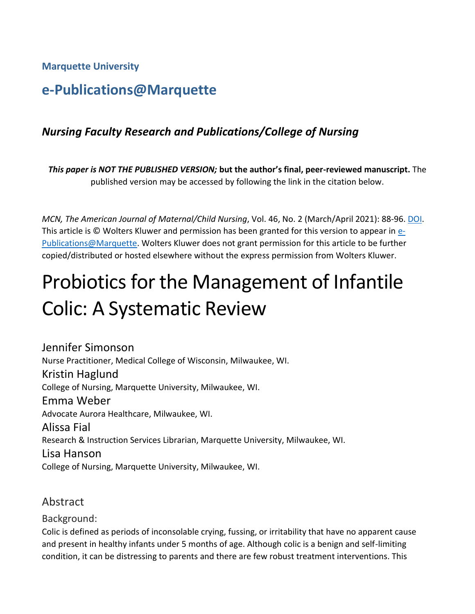**Marquette University**

## **e-Publications@Marquette**

## *Nursing Faculty Research and Publications/College of Nursing*

*This paper is NOT THE PUBLISHED VERSION;* **but the author's final, peer-reviewed manuscript.** The published version may be accessed by following the link in the citation below.

*MCN, The American Journal of Maternal/Child Nursing*, Vol. 46, No. 2 (March/April 2021): 88-96[. DOI.](https://doi.org/10.1097/NMC.0000000000000691) This article is © Wolters Kluwer and permission has been granted for this version to appear in [e-](http://epublications.marquette.edu/)[Publications@Marquette.](http://epublications.marquette.edu/) Wolters Kluwer does not grant permission for this article to be further copied/distributed or hosted elsewhere without the express permission from Wolters Kluwer.

# Probiotics for the Management of Infantile Colic: A Systematic Review

Jennifer Simonson Nurse Practitioner, Medical College of Wisconsin, Milwaukee, WI. Kristin Haglund College of Nursing, Marquette University, Milwaukee, WI. Emma Weber Advocate Aurora Healthcare, Milwaukee, WI. Alissa Fial Research & Instruction Services Librarian, Marquette University, Milwaukee, WI. Lisa Hanson College of Nursing, Marquette University, Milwaukee, WI.

## Abstract

Background:

Colic is defined as periods of inconsolable crying, fussing, or irritability that have no apparent cause and present in healthy infants under 5 months of age. Although colic is a benign and self-limiting condition, it can be distressing to parents and there are few robust treatment interventions. This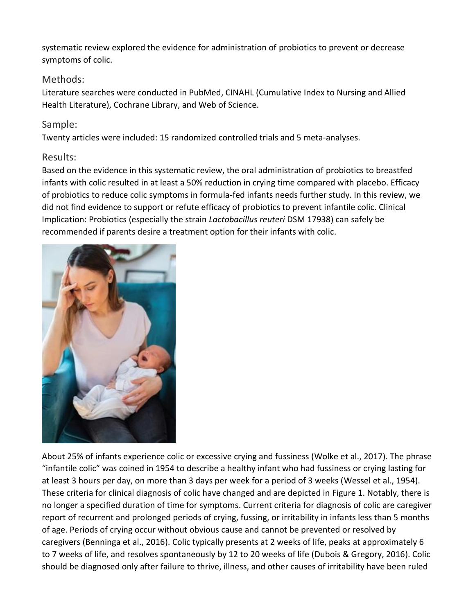systematic review explored the evidence for administration of probiotics to prevent or decrease symptoms of colic.

#### Methods:

Literature searches were conducted in PubMed, CINAHL (Cumulative Index to Nursing and Allied Health Literature), Cochrane Library, and Web of Science.

#### Sample:

Twenty articles were included: 15 randomized controlled trials and 5 meta-analyses.

#### Results:

Based on the evidence in this systematic review, the oral administration of probiotics to breastfed infants with colic resulted in at least a 50% reduction in crying time compared with placebo. Efficacy of probiotics to reduce colic symptoms in formula-fed infants needs further study. In this review, we did not find evidence to support or refute efficacy of probiotics to prevent infantile colic. Clinical Implication: Probiotics (especially the strain *Lactobacillus reuteri* DSM 17938) can safely be recommended if parents desire a treatment option for their infants with colic.



About 25% of infants experience colic or excessive crying and fussiness (Wolke et al., 2017). The phrase "infantile colic" was coined in 1954 to describe a healthy infant who had fussiness or crying lasting for at least 3 hours per day, on more than 3 days per week for a period of 3 weeks (Wessel et al., 1954). These criteria for clinical diagnosis of colic have changed and are depicted in Figure 1. Notably, there is no longer a specified duration of time for symptoms. Current criteria for diagnosis of colic are caregiver report of recurrent and prolonged periods of crying, fussing, or irritability in infants less than 5 months of age. Periods of crying occur without obvious cause and cannot be prevented or resolved by caregivers (Benninga et al., 2016). Colic typically presents at 2 weeks of life, peaks at approximately 6 to 7 weeks of life, and resolves spontaneously by 12 to 20 weeks of life (Dubois & Gregory, 2016). Colic should be diagnosed only after failure to thrive, illness, and other causes of irritability have been ruled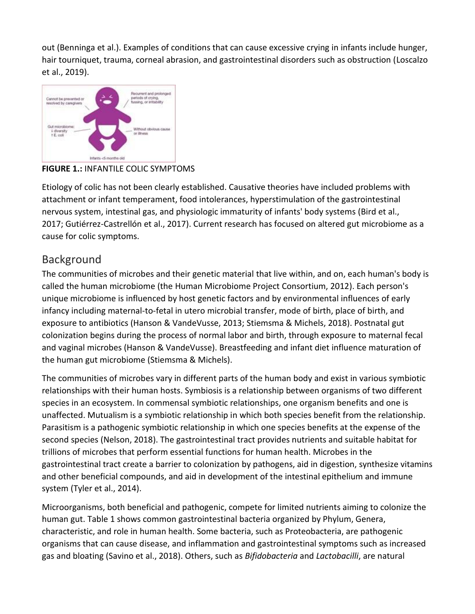out (Benninga et al.). Examples of conditions that can cause excessive crying in infants include hunger, hair tourniquet, trauma, corneal abrasion, and gastrointestinal disorders such as obstruction (Loscalzo et al., 2019).



**FIGURE 1.:** INFANTILE COLIC SYMPTOMS

Etiology of colic has not been clearly established. Causative theories have included problems with attachment or infant temperament, food intolerances, hyperstimulation of the gastrointestinal nervous system, intestinal gas, and physiologic immaturity of infants' body systems (Bird et al., 2017; Gutiérrez-Castrellón et al., 2017). Current research has focused on altered gut microbiome as a cause for colic symptoms.

## Background

The communities of microbes and their genetic material that live within, and on, each human's body is called the human microbiome (the Human Microbiome Project Consortium, 2012). Each person's unique microbiome is influenced by host genetic factors and by environmental influences of early infancy including maternal-to-fetal in utero microbial transfer, mode of birth, place of birth, and exposure to antibiotics (Hanson & VandeVusse, 2013; Stiemsma & Michels, 2018). Postnatal gut colonization begins during the process of normal labor and birth, through exposure to maternal fecal and vaginal microbes (Hanson & VandeVusse). Breastfeeding and infant diet influence maturation of the human gut microbiome (Stiemsma & Michels).

The communities of microbes vary in different parts of the human body and exist in various symbiotic relationships with their human hosts. Symbiosis is a relationship between organisms of two different species in an ecosystem. In commensal symbiotic relationships, one organism benefits and one is unaffected. Mutualism is a symbiotic relationship in which both species benefit from the relationship. Parasitism is a pathogenic symbiotic relationship in which one species benefits at the expense of the second species (Nelson, 2018). The gastrointestinal tract provides nutrients and suitable habitat for trillions of microbes that perform essential functions for human health. Microbes in the gastrointestinal tract create a barrier to colonization by pathogens, aid in digestion, synthesize vitamins and other beneficial compounds, and aid in development of the intestinal epithelium and immune system (Tyler et al., 2014).

Microorganisms, both beneficial and pathogenic, compete for limited nutrients aiming to colonize the human gut. Table 1 shows common gastrointestinal bacteria organized by Phylum, Genera, characteristic, and role in human health. Some bacteria, such as Proteobacteria, are pathogenic organisms that can cause disease, and inflammation and gastrointestinal symptoms such as increased gas and bloating (Savino et al., 2018). Others, such as *Bifidobacteria* and *Lactobacilli*, are natural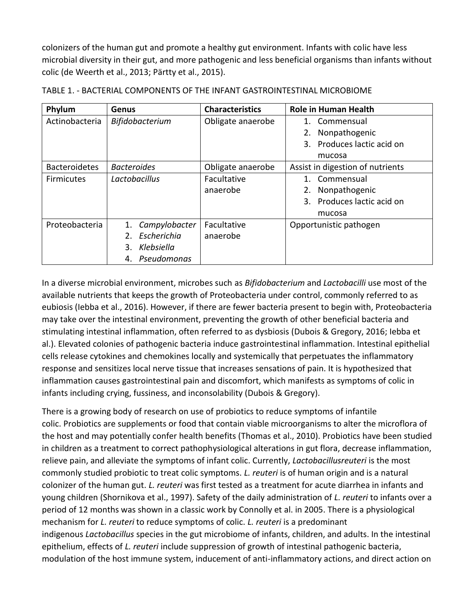colonizers of the human gut and promote a healthy gut environment. Infants with colic have less microbial diversity in their gut, and more pathogenic and less beneficial organisms than infants without colic (de Weerth et al., 2013; Pärtty et al., 2015).

| Phylum               | Genus                  | <b>Characteristics</b> | <b>Role in Human Health</b>      |
|----------------------|------------------------|------------------------|----------------------------------|
| Actinobacteria       | Bifidobacterium        | Obligate anaerobe      | Commensual<br>1.                 |
|                      |                        |                        | Nonpathogenic                    |
|                      |                        |                        | Produces lactic acid on          |
|                      |                        |                        | mucosa                           |
| <b>Bacteroidetes</b> | <b>Bacteroides</b>     | Obligate anaerobe      | Assist in digestion of nutrients |
| Firmicutes           | Lactobacillus          | Facultative            | Commensual<br>$1_{-}$            |
|                      |                        | anaerobe               | Nonpathogenic                    |
|                      |                        |                        | Produces lactic acid on          |
|                      |                        |                        | mucosa                           |
| Proteobacteria       | Campylobacter<br>1.    | Facultative            | Opportunistic pathogen           |
|                      | Escherichia<br>$2_{1}$ | anaerobe               |                                  |
|                      | Klebsiella<br>3.       |                        |                                  |
|                      | Pseudomonas<br>4.      |                        |                                  |

TABLE 1. - BACTERIAL COMPONENTS OF THE INFANT GASTROINTESTINAL MICROBIOME

In a diverse microbial environment, microbes such as *Bifidobacterium* and *Lactobacilli* use most of the available nutrients that keeps the growth of Proteobacteria under control, commonly referred to as eubiosis (Iebba et al., 2016). However, if there are fewer bacteria present to begin with, Proteobacteria may take over the intestinal environment, preventing the growth of other beneficial bacteria and stimulating intestinal inflammation, often referred to as dysbiosis (Dubois & Gregory, 2016; Iebba et al.). Elevated colonies of pathogenic bacteria induce gastrointestinal inflammation. Intestinal epithelial cells release cytokines and chemokines locally and systemically that perpetuates the inflammatory response and sensitizes local nerve tissue that increases sensations of pain. It is hypothesized that inflammation causes gastrointestinal pain and discomfort, which manifests as symptoms of colic in infants including crying, fussiness, and inconsolability (Dubois & Gregory).

There is a growing body of research on use of probiotics to reduce symptoms of infantile colic. Probiotics are supplements or food that contain viable microorganisms to alter the microflora of the host and may potentially confer health benefits (Thomas et al., 2010). Probiotics have been studied in children as a treatment to correct pathophysiological alterations in gut flora, decrease inflammation, relieve pain, and alleviate the symptoms of infant colic. Currently, *Lactobacillusreuteri* is the most commonly studied probiotic to treat colic symptoms. *L. reuteri* is of human origin and is a natural colonizer of the human gut. *L. reuteri* was first tested as a treatment for acute diarrhea in infants and young children (Shornikova et al., 1997). Safety of the daily administration of *L. reuteri* to infants over a period of 12 months was shown in a classic work by Connolly et al. in 2005. There is a physiological mechanism for *L. reuteri* to reduce symptoms of colic. *L. reuteri* is a predominant indigenous *Lactobacillus* species in the gut microbiome of infants, children, and adults. In the intestinal epithelium, effects of *L. reuteri* include suppression of growth of intestinal pathogenic bacteria, modulation of the host immune system, inducement of anti-inflammatory actions, and direct action on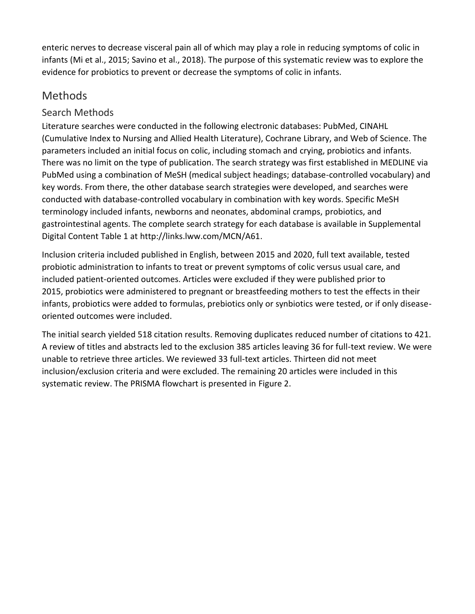enteric nerves to decrease visceral pain all of which may play a role in reducing symptoms of colic in infants (Mi et al., 2015; Savino et al., 2018). The purpose of this systematic review was to explore the evidence for probiotics to prevent or decrease the symptoms of colic in infants.

## Methods

#### Search Methods

Literature searches were conducted in the following electronic databases: PubMed, CINAHL (Cumulative Index to Nursing and Allied Health Literature), Cochrane Library, and Web of Science. The parameters included an initial focus on colic, including stomach and crying, probiotics and infants. There was no limit on the type of publication. The search strategy was first established in MEDLINE via PubMed using a combination of MeSH (medical subject headings; database-controlled vocabulary) and key words. From there, the other database search strategies were developed, and searches were conducted with database-controlled vocabulary in combination with key words. Specific MeSH terminology included infants, newborns and neonates, abdominal cramps, probiotics, and gastrointestinal agents. The complete search strategy for each database is available in Supplemental Digital Content Table 1 at http://links.lww.com/MCN/A61.

Inclusion criteria included published in English, between 2015 and 2020, full text available, tested probiotic administration to infants to treat or prevent symptoms of colic versus usual care, and included patient-oriented outcomes. Articles were excluded if they were published prior to 2015, probiotics were administered to pregnant or breastfeeding mothers to test the effects in their infants, probiotics were added to formulas, prebiotics only or synbiotics were tested, or if only diseaseoriented outcomes were included.

The initial search yielded 518 citation results. Removing duplicates reduced number of citations to 421. A review of titles and abstracts led to the exclusion 385 articles leaving 36 for full-text review. We were unable to retrieve three articles. We reviewed 33 full-text articles. Thirteen did not meet inclusion/exclusion criteria and were excluded. The remaining 20 articles were included in this systematic review. The PRISMA flowchart is presented in Figure 2.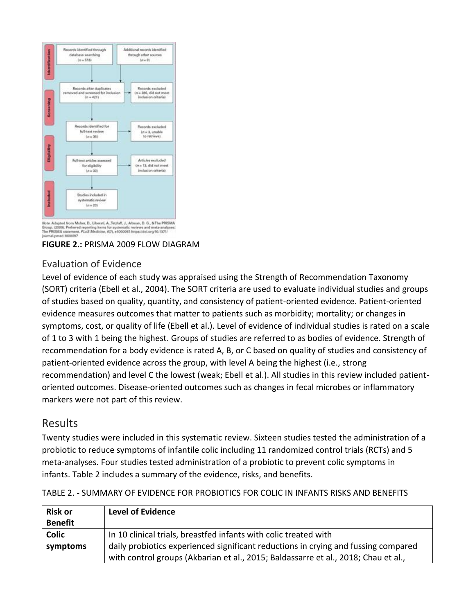

.<br>Abte. Adapted from Moher, D., Liberati, A., Tetzlaff, J., Altman, D. G., & The PRISMA<br>Group. (2009). Preferred reporting Items for systematic reviews and meta-analyses:<br>The PRISMA statement. PLoS Medicine, 6(7). +1000092



#### Evaluation of Evidence

Level of evidence of each study was appraised using the Strength of Recommendation Taxonomy (SORT) criteria (Ebell et al., 2004). The SORT criteria are used to evaluate individual studies and groups of studies based on quality, quantity, and consistency of patient-oriented evidence. Patient-oriented evidence measures outcomes that matter to patients such as morbidity; mortality; or changes in symptoms, cost, or quality of life (Ebell et al.). Level of evidence of individual studies is rated on a scale of 1 to 3 with 1 being the highest. Groups of studies are referred to as bodies of evidence. Strength of recommendation for a body evidence is rated A, B, or C based on quality of studies and consistency of patient-oriented evidence across the group, with level A being the highest (i.e., strong recommendation) and level C the lowest (weak; Ebell et al.). All studies in this review included patientoriented outcomes. Disease-oriented outcomes such as changes in fecal microbes or inflammatory markers were not part of this review.

### Results

Twenty studies were included in this systematic review. Sixteen studies tested the administration of a probiotic to reduce symptoms of infantile colic including 11 randomized control trials (RCTs) and 5 meta-analyses. Four studies tested administration of a probiotic to prevent colic symptoms in infants. Table 2 includes a summary of the evidence, risks, and benefits.

| <b>Risk or</b> | <b>Level of Evidence</b>                                                           |
|----------------|------------------------------------------------------------------------------------|
| <b>Benefit</b> |                                                                                    |
| <b>Colic</b>   | In 10 clinical trials, breastfed infants with colic treated with                   |
| symptoms       | daily probiotics experienced significant reductions in crying and fussing compared |
|                | with control groups (Akbarian et al., 2015; Baldassarre et al., 2018; Chau et al., |

TABLE 2. - SUMMARY OF EVIDENCE FOR PROBIOTICS FOR COLIC IN INFANTS RISKS AND BENEFITS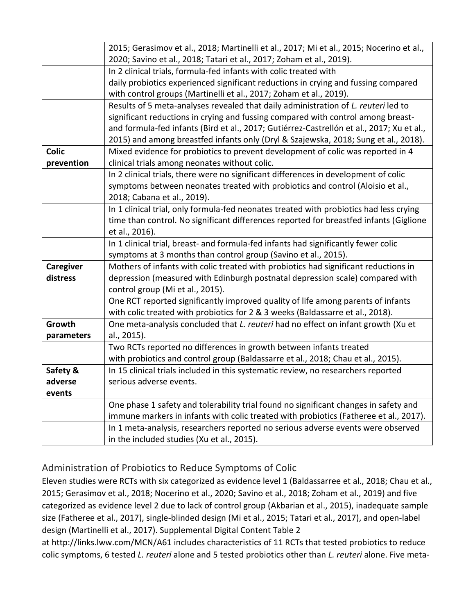|              | 2015; Gerasimov et al., 2018; Martinelli et al., 2017; Mi et al., 2015; Nocerino et al.,  |  |
|--------------|-------------------------------------------------------------------------------------------|--|
|              | 2020; Savino et al., 2018; Tatari et al., 2017; Zoham et al., 2019).                      |  |
|              | In 2 clinical trials, formula-fed infants with colic treated with                         |  |
|              | daily probiotics experienced significant reductions in crying and fussing compared        |  |
|              | with control groups (Martinelli et al., 2017; Zoham et al., 2019).                        |  |
|              | Results of 5 meta-analyses revealed that daily administration of L. reuteri led to        |  |
|              | significant reductions in crying and fussing compared with control among breast-          |  |
|              | and formula-fed infants (Bird et al., 2017; Gutiérrez-Castrellón et al., 2017; Xu et al., |  |
|              | 2015) and among breastfed infants only (Dryl & Szajewska, 2018; Sung et al., 2018).       |  |
| <b>Colic</b> | Mixed evidence for probiotics to prevent development of colic was reported in 4           |  |
| prevention   | clinical trials among neonates without colic.                                             |  |
|              | In 2 clinical trials, there were no significant differences in development of colic       |  |
|              | symptoms between neonates treated with probiotics and control (Aloisio et al.,            |  |
|              | 2018; Cabana et al., 2019).                                                               |  |
|              | In 1 clinical trial, only formula-fed neonates treated with probiotics had less crying    |  |
|              | time than control. No significant differences reported for breastfed infants (Giglione    |  |
|              | et al., 2016).                                                                            |  |
|              | In 1 clinical trial, breast- and formula-fed infants had significantly fewer colic        |  |
|              | symptoms at 3 months than control group (Savino et al., 2015).                            |  |
| Caregiver    | Mothers of infants with colic treated with probiotics had significant reductions in       |  |
| distress     | depression (measured with Edinburgh postnatal depression scale) compared with             |  |
|              | control group (Mi et al., 2015).                                                          |  |
|              | One RCT reported significantly improved quality of life among parents of infants          |  |
|              | with colic treated with probiotics for 2 & 3 weeks (Baldassarre et al., 2018).            |  |
| Growth       | One meta-analysis concluded that L. reuteri had no effect on infant growth (Xu et         |  |
| parameters   | al., 2015).                                                                               |  |
|              | Two RCTs reported no differences in growth between infants treated                        |  |
|              | with probiotics and control group (Baldassarre et al., 2018; Chau et al., 2015).          |  |
| Safety &     | In 15 clinical trials included in this systematic review, no researchers reported         |  |
| adverse      | serious adverse events.                                                                   |  |
| events       |                                                                                           |  |
|              | One phase 1 safety and tolerability trial found no significant changes in safety and      |  |
|              | immune markers in infants with colic treated with probiotics (Fatheree et al., 2017).     |  |
|              | In 1 meta-analysis, researchers reported no serious adverse events were observed          |  |
|              | in the included studies (Xu et al., 2015).                                                |  |

### Administration of Probiotics to Reduce Symptoms of Colic

Eleven studies were RCTs with six categorized as evidence level 1 (Baldassarree et al., 2018; Chau et al., 2015; Gerasimov et al., 2018; Nocerino et al., 2020; Savino et al., 2018; Zoham et al., 2019) and five categorized as evidence level 2 due to lack of control group (Akbarian et al., 2015), inadequate sample size (Fatheree et al., 2017), single-blinded design (Mi et al., 2015; Tatari et al., 2017), and open-label design (Martinelli et al., 2017). Supplemental Digital Content Table 2

at http://links.lww.com/MCN/A61 includes characteristics of 11 RCTs that tested probiotics to reduce colic symptoms, 6 tested *L. reuteri* alone and 5 tested probiotics other than *L. reuteri* alone. Five meta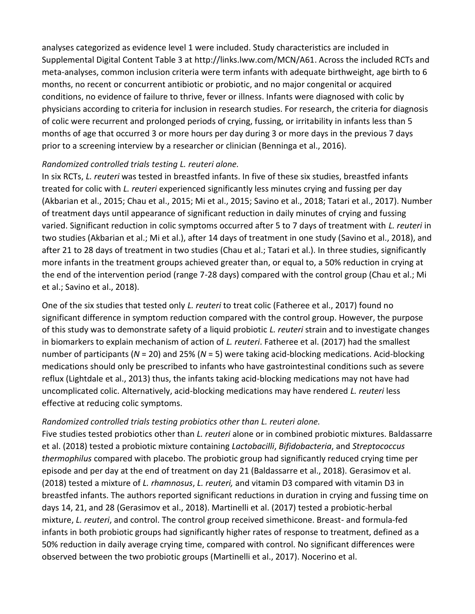analyses categorized as evidence level 1 were included. Study characteristics are included in Supplemental Digital Content Table 3 at http://links.lww.com/MCN/A61. Across the included RCTs and meta-analyses, common inclusion criteria were term infants with adequate birthweight, age birth to 6 months, no recent or concurrent antibiotic or probiotic, and no major congenital or acquired conditions, no evidence of failure to thrive, fever or illness. Infants were diagnosed with colic by physicians according to criteria for inclusion in research studies. For research, the criteria for diagnosis of colic were recurrent and prolonged periods of crying, fussing, or irritability in infants less than 5 months of age that occurred 3 or more hours per day during 3 or more days in the previous 7 days prior to a screening interview by a researcher or clinician (Benninga et al., 2016).

#### *Randomized controlled trials testing L. reuteri alone.*

In six RCTs, *L. reuteri* was tested in breastfed infants. In five of these six studies, breastfed infants treated for colic with *L. reuteri* experienced significantly less minutes crying and fussing per day (Akbarian et al., 2015; Chau et al., 2015; Mi et al., 2015; Savino et al., 2018; Tatari et al., 2017). Number of treatment days until appearance of significant reduction in daily minutes of crying and fussing varied. Significant reduction in colic symptoms occurred after 5 to 7 days of treatment with *L. reuteri* in two studies (Akbarian et al.; Mi et al.), after 14 days of treatment in one study (Savino et al., 2018), and after 21 to 28 days of treatment in two studies (Chau et al.; Tatari et al.). In three studies, significantly more infants in the treatment groups achieved greater than, or equal to, a 50% reduction in crying at the end of the intervention period (range 7-28 days) compared with the control group (Chau et al.; Mi et al.; Savino et al., 2018).

One of the six studies that tested only *L. reuteri* to treat colic (Fatheree et al., 2017) found no significant difference in symptom reduction compared with the control group. However, the purpose of this study was to demonstrate safety of a liquid probiotic *L. reuteri* strain and to investigate changes in biomarkers to explain mechanism of action of *L. reuteri*. Fatheree et al. (2017) had the smallest number of participants (*N* = 20) and 25% (*N* = 5) were taking acid-blocking medications. Acid-blocking medications should only be prescribed to infants who have gastrointestinal conditions such as severe reflux (Lightdale et al., 2013) thus, the infants taking acid-blocking medications may not have had uncomplicated colic. Alternatively, acid-blocking medications may have rendered *L. reuteri* less effective at reducing colic symptoms.

#### *Randomized controlled trials testing probiotics other than L. reuteri alone.*

Five studies tested probiotics other than *L. reuteri* alone or in combined probiotic mixtures. Baldassarre et al. (2018) tested a probiotic mixture containing *Lactobacilli*, *Bifidobacteria*, and *Streptococcus thermophilus* compared with placebo. The probiotic group had significantly reduced crying time per episode and per day at the end of treatment on day 21 (Baldassarre et al., 2018). Gerasimov et al. (2018) tested a mixture of *L. rhamnosus*, *L. reuteri,* and vitamin D3 compared with vitamin D3 in breastfed infants. The authors reported significant reductions in duration in crying and fussing time on days 14, 21, and 28 (Gerasimov et al., 2018). Martinelli et al. (2017) tested a probiotic-herbal mixture, *L. reuteri*, and control. The control group received simethicone. Breast- and formula-fed infants in both probiotic groups had significantly higher rates of response to treatment, defined as a 50% reduction in daily average crying time, compared with control. No significant differences were observed between the two probiotic groups (Martinelli et al., 2017). Nocerino et al.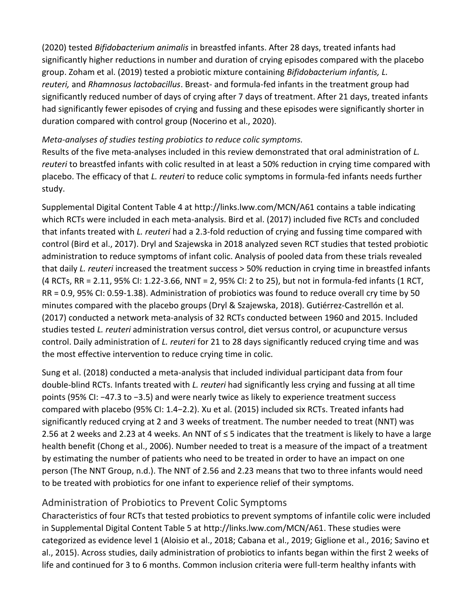(2020) tested *Bifidobacterium animalis* in breastfed infants. After 28 days, treated infants had significantly higher reductions in number and duration of crying episodes compared with the placebo group. Zoham et al. (2019) tested a probiotic mixture containing *Bifidobacterium infantis, L. reuteri,* and *Rhamnosus lactobacillus*. Breast- and formula-fed infants in the treatment group had significantly reduced number of days of crying after 7 days of treatment. After 21 days, treated infants had significantly fewer episodes of crying and fussing and these episodes were significantly shorter in duration compared with control group (Nocerino et al., 2020).

#### *Meta-analyses of studies testing probiotics to reduce colic symptoms.*

Results of the five meta-analyses included in this review demonstrated that oral administration of *L. reuteri* to breastfed infants with colic resulted in at least a 50% reduction in crying time compared with placebo. The efficacy of that *L. reuteri* to reduce colic symptoms in formula-fed infants needs further study.

Supplemental Digital Content Table 4 at http://links.lww.com/MCN/A61 contains a table indicating which RCTs were included in each meta-analysis. Bird et al. (2017) included five RCTs and concluded that infants treated with *L. reuteri* had a 2.3-fold reduction of crying and fussing time compared with control (Bird et al., 2017). Dryl and Szajewska in 2018 analyzed seven RCT studies that tested probiotic administration to reduce symptoms of infant colic. Analysis of pooled data from these trials revealed that daily *L. reuteri* increased the treatment success > 50% reduction in crying time in breastfed infants (4 RCTs, RR = 2.11, 95% CI: 1.22-3.66, NNT = 2, 95% CI: 2 to 25), but not in formula-fed infants (1 RCT, RR = 0.9, 95% CI: 0.59-1.38). Administration of probiotics was found to reduce overall cry time by 50 minutes compared with the placebo groups (Dryl & Szajewska, 2018). Gutiérrez-Castrellón et al. (2017) conducted a network meta-analysis of 32 RCTs conducted between 1960 and 2015. Included studies tested *L. reuteri* administration versus control, diet versus control, or acupuncture versus control. Daily administration of *L. reuteri* for 21 to 28 days significantly reduced crying time and was the most effective intervention to reduce crying time in colic.

Sung et al. (2018) conducted a meta-analysis that included individual participant data from four double-blind RCTs. Infants treated with *L. reuteri* had significantly less crying and fussing at all time points (95% CI: −47.3 to −3.5) and were nearly twice as likely to experience treatment success compared with placebo (95% CI: 1.4−2.2). Xu et al. (2015) included six RCTs. Treated infants had significantly reduced crying at 2 and 3 weeks of treatment. The number needed to treat (NNT) was 2.56 at 2 weeks and 2.23 at 4 weeks. An NNT of ≤ 5 indicates that the treatment is likely to have a large health benefit (Chong et al., 2006). Number needed to treat is a measure of the impact of a treatment by estimating the number of patients who need to be treated in order to have an impact on one person (The NNT Group, n.d.). The NNT of 2.56 and 2.23 means that two to three infants would need to be treated with probiotics for one infant to experience relief of their symptoms.

#### Administration of Probiotics to Prevent Colic Symptoms

Characteristics of four RCTs that tested probiotics to prevent symptoms of infantile colic were included in Supplemental Digital Content Table 5 at http://links.lww.com/MCN/A61. These studies were categorized as evidence level 1 (Aloisio et al., 2018; Cabana et al., 2019; Giglione et al., 2016; Savino et al., 2015). Across studies, daily administration of probiotics to infants began within the first 2 weeks of life and continued for 3 to 6 months. Common inclusion criteria were full-term healthy infants with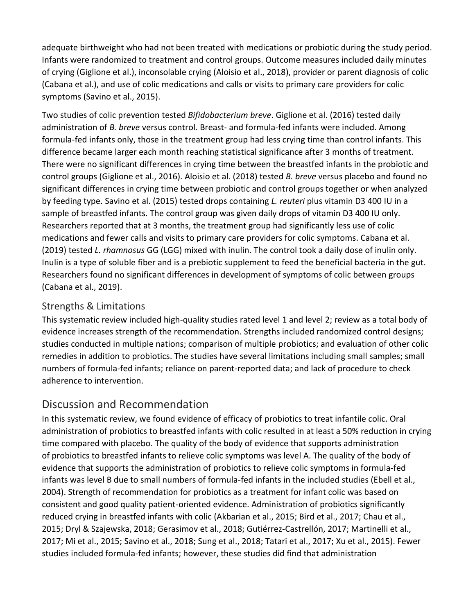adequate birthweight who had not been treated with medications or probiotic during the study period. Infants were randomized to treatment and control groups. Outcome measures included daily minutes of crying (Giglione et al.), inconsolable crying (Aloisio et al., 2018), provider or parent diagnosis of colic (Cabana et al.), and use of colic medications and calls or visits to primary care providers for colic symptoms (Savino et al., 2015).

Two studies of colic prevention tested *Bifidobacterium breve*. Giglione et al. (2016) tested daily administration of *B. breve* versus control. Breast- and formula-fed infants were included. Among formula-fed infants only, those in the treatment group had less crying time than control infants. This difference became larger each month reaching statistical significance after 3 months of treatment. There were no significant differences in crying time between the breastfed infants in the probiotic and control groups (Giglione et al., 2016). Aloisio et al. (2018) tested *B. breve* versus placebo and found no significant differences in crying time between probiotic and control groups together or when analyzed by feeding type. Savino et al. (2015) tested drops containing *L. reuteri* plus vitamin D3 400 IU in a sample of breastfed infants. The control group was given daily drops of vitamin D3 400 IU only. Researchers reported that at 3 months, the treatment group had significantly less use of colic medications and fewer calls and visits to primary care providers for colic symptoms. Cabana et al. (2019) tested *L. rhamnosus* GG (LGG) mixed with inulin. The control took a daily dose of inulin only. Inulin is a type of soluble fiber and is a prebiotic supplement to feed the beneficial bacteria in the gut. Researchers found no significant differences in development of symptoms of colic between groups (Cabana et al., 2019).

#### Strengths & Limitations

This systematic review included high-quality studies rated level 1 and level 2; review as a total body of evidence increases strength of the recommendation. Strengths included randomized control designs; studies conducted in multiple nations; comparison of multiple probiotics; and evaluation of other colic remedies in addition to probiotics. The studies have several limitations including small samples; small numbers of formula-fed infants; reliance on parent-reported data; and lack of procedure to check adherence to intervention.

## Discussion and Recommendation

In this systematic review, we found evidence of efficacy of probiotics to treat infantile colic. Oral administration of probiotics to breastfed infants with colic resulted in at least a 50% reduction in crying time compared with placebo. The quality of the body of evidence that supports administration of probiotics to breastfed infants to relieve colic symptoms was level A. The quality of the body of evidence that supports the administration of probiotics to relieve colic symptoms in formula-fed infants was level B due to small numbers of formula-fed infants in the included studies (Ebell et al., 2004). Strength of recommendation for probiotics as a treatment for infant colic was based on consistent and good quality patient-oriented evidence. Administration of probiotics significantly reduced crying in breastfed infants with colic (Akbarian et al., 2015; Bird et al., 2017; Chau et al., 2015; Dryl & Szajewska, 2018; Gerasimov et al., 2018; Gutiérrez-Castrellón, 2017; Martinelli et al., 2017; Mi et al., 2015; Savino et al., 2018; Sung et al., 2018; Tatari et al., 2017; Xu et al., 2015). Fewer studies included formula-fed infants; however, these studies did find that administration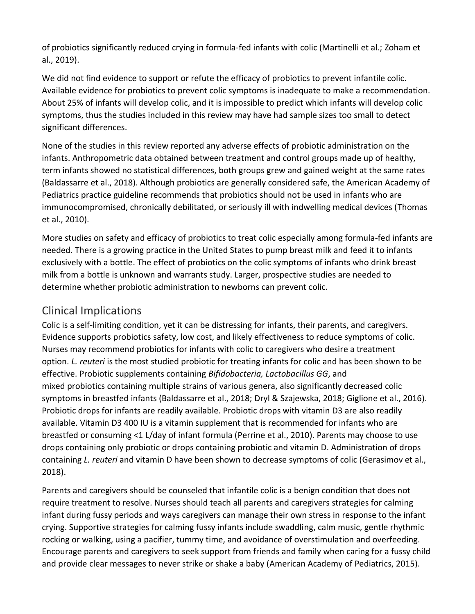of probiotics significantly reduced crying in formula-fed infants with colic (Martinelli et al.; Zoham et al., 2019).

We did not find evidence to support or refute the efficacy of probiotics to prevent infantile colic. Available evidence for probiotics to prevent colic symptoms is inadequate to make a recommendation. About 25% of infants will develop colic, and it is impossible to predict which infants will develop colic symptoms, thus the studies included in this review may have had sample sizes too small to detect significant differences.

None of the studies in this review reported any adverse effects of probiotic administration on the infants. Anthropometric data obtained between treatment and control groups made up of healthy, term infants showed no statistical differences, both groups grew and gained weight at the same rates (Baldassarre et al., 2018). Although probiotics are generally considered safe, the American Academy of Pediatrics practice guideline recommends that probiotics should not be used in infants who are immunocompromised, chronically debilitated, or seriously ill with indwelling medical devices (Thomas et al., 2010).

More studies on safety and efficacy of probiotics to treat colic especially among formula-fed infants are needed. There is a growing practice in the United States to pump breast milk and feed it to infants exclusively with a bottle. The effect of probiotics on the colic symptoms of infants who drink breast milk from a bottle is unknown and warrants study. Larger, prospective studies are needed to determine whether probiotic administration to newborns can prevent colic.

## Clinical Implications

Colic is a self-limiting condition, yet it can be distressing for infants, their parents, and caregivers. Evidence supports probiotics safety, low cost, and likely effectiveness to reduce symptoms of colic. Nurses may recommend probiotics for infants with colic to caregivers who desire a treatment option. *L. reuteri* is the most studied probiotic for treating infants for colic and has been shown to be effective. Probiotic supplements containing *Bifidobacteria, Lactobacillus GG*, and mixed probiotics containing multiple strains of various genera, also significantly decreased colic symptoms in breastfed infants (Baldassarre et al., 2018; Dryl & Szajewska, 2018; Giglione et al., 2016). Probiotic drops for infants are readily available. Probiotic drops with vitamin D3 are also readily available. Vitamin D3 400 IU is a vitamin supplement that is recommended for infants who are breastfed or consuming <1 L/day of infant formula (Perrine et al., 2010). Parents may choose to use drops containing only probiotic or drops containing probiotic and vitamin D. Administration of drops containing *L. reuteri* and vitamin D have been shown to decrease symptoms of colic (Gerasimov et al., 2018).

Parents and caregivers should be counseled that infantile colic is a benign condition that does not require treatment to resolve. Nurses should teach all parents and caregivers strategies for calming infant during fussy periods and ways caregivers can manage their own stress in response to the infant crying. Supportive strategies for calming fussy infants include swaddling, calm music, gentle rhythmic rocking or walking, using a pacifier, tummy time, and avoidance of overstimulation and overfeeding. Encourage parents and caregivers to seek support from friends and family when caring for a fussy child and provide clear messages to never strike or shake a baby (American Academy of Pediatrics, 2015).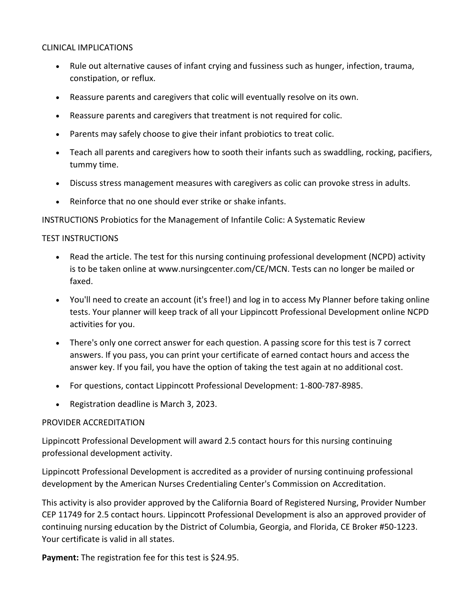#### CLINICAL IMPLICATIONS

- Rule out alternative causes of infant crying and fussiness such as hunger, infection, trauma, constipation, or reflux.
- Reassure parents and caregivers that colic will eventually resolve on its own.
- Reassure parents and caregivers that treatment is not required for colic.
- Parents may safely choose to give their infant probiotics to treat colic.
- Teach all parents and caregivers how to sooth their infants such as swaddling, rocking, pacifiers, tummy time.
- Discuss stress management measures with caregivers as colic can provoke stress in adults.
- Reinforce that no one should ever strike or shake infants.

INSTRUCTIONS Probiotics for the Management of Infantile Colic: A Systematic Review

#### TEST INSTRUCTIONS

- Read the article. The test for this nursing continuing professional development (NCPD) activity is to be taken online at www.nursingcenter.com/CE/MCN. Tests can no longer be mailed or faxed.
- You'll need to create an account (it's free!) and log in to access My Planner before taking online tests. Your planner will keep track of all your Lippincott Professional Development online NCPD activities for you.
- There's only one correct answer for each question. A passing score for this test is 7 correct answers. If you pass, you can print your certificate of earned contact hours and access the answer key. If you fail, you have the option of taking the test again at no additional cost.
- For questions, contact Lippincott Professional Development: 1-800-787-8985.
- Registration deadline is March 3, 2023.

#### PROVIDER ACCREDITATION

Lippincott Professional Development will award 2.5 contact hours for this nursing continuing professional development activity.

Lippincott Professional Development is accredited as a provider of nursing continuing professional development by the American Nurses Credentialing Center's Commission on Accreditation.

This activity is also provider approved by the California Board of Registered Nursing, Provider Number CEP 11749 for 2.5 contact hours. Lippincott Professional Development is also an approved provider of continuing nursing education by the District of Columbia, Georgia, and Florida, CE Broker #50-1223. Your certificate is valid in all states.

**Payment:** The registration fee for this test is \$24.95.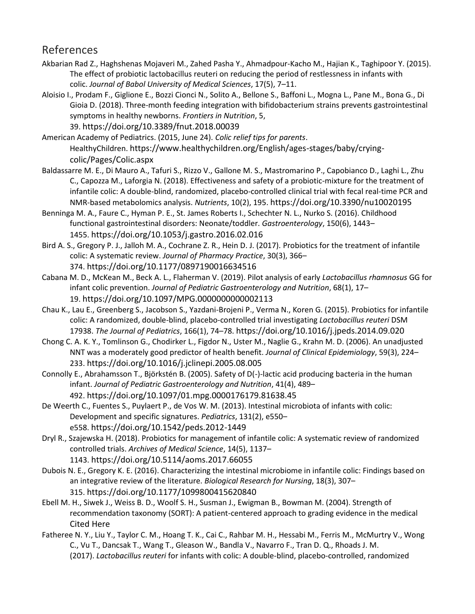### References

- Akbarian Rad Z., Haghshenas Mojaveri M., Zahed Pasha Y., Ahmadpour-Kacho M., Hajian K., Taghipoor Y. (2015). The effect of probiotic lactobacillus reuteri on reducing the period of restlessness in infants with colic. *Journal of Babol University of Medical Sciences*, 17(5), 7–11.
- Aloisio I., Prodam F., Giglione E., Bozzi Cionci N., Solito A., Bellone S., Baffoni L., Mogna L., Pane M., Bona G., Di Gioia D. (2018). Three-month feeding integration with bifidobacterium strains prevents gastrointestinal symptoms in healthy newborns. *Frontiers in Nutrition*, 5, 39. https://doi.org/10.3389/fnut.2018.00039

American Academy of Pediatrics. (2015, June 24). *Colic relief tips for parents*. HealthyChildren. https://www.healthychildren.org/English/ages-stages/baby/cryingcolic/Pages/Colic.aspx

- Baldassarre M. E., Di Mauro A., Tafuri S., Rizzo V., Gallone M. S., Mastromarino P., Capobianco D., Laghi L., Zhu C., Capozza M., Laforgia N. (2018). Effectiveness and safety of a probiotic-mixture for the treatment of infantile colic: A double-blind, randomized, placebo-controlled clinical trial with fecal real-time PCR and NMR-based metabolomics analysis. *Nutrients*, 10(2), 195. https://doi.org/10.3390/nu10020195
- Benninga M. A., Faure C., Hyman P. E., St. James Roberts I., Schechter N. L., Nurko S. (2016). Childhood functional gastrointestinal disorders: Neonate/toddler. *Gastroenterology*, 150(6), 1443– 1455. https://doi.org/10.1053/j.gastro.2016.02.016
- Bird A. S., Gregory P. J., Jalloh M. A., Cochrane Z. R., Hein D. J. (2017). Probiotics for the treatment of infantile colic: A systematic review. *Journal of Pharmacy Practice*, 30(3), 366– 374. https://doi.org/10.1177/0897190016634516
- Cabana M. D., McKean M., Beck A. L., Flaherman V. (2019). Pilot analysis of early *Lactobacillus rhamnosus* GG for infant colic prevention. *Journal of Pediatric Gastroenterology and Nutrition*, 68(1), 17– 19. https://doi.org/10.1097/MPG.0000000000002113
- Chau K., Lau E., Greenberg S., Jacobson S., Yazdani-Brojeni P., Verma N., Koren G. (2015). Probiotics for infantile colic: A randomized, double-blind, placebo-controlled trial investigating *Lactobacillus reuteri* DSM 17938. *The Journal of Pediatrics*, 166(1), 74–78. https://doi.org/10.1016/j.jpeds.2014.09.020
- Chong C. A. K. Y., Tomlinson G., Chodirker L., Figdor N., Uster M., Naglie G., Krahn M. D. (2006). An unadjusted NNT was a moderately good predictor of health benefit. *Journal of Clinical Epidemiology*, 59(3), 224– 233. https://doi.org/10.1016/j.jclinepi.2005.08.005
- Connolly E., Abrahamsson T., Björkstén B. (2005). Safety of D(-)-lactic acid producing bacteria in the human infant. *Journal of Pediatric Gastroenterology and Nutrition*, 41(4), 489– 492. https://doi.org/10.1097/01.mpg.0000176179.81638.45
- De Weerth C., Fuentes S., Puylaert P., de Vos W. M. (2013). Intestinal microbiota of infants with colic: Development and specific signatures. *Pediatrics*, 131(2), e550– e558. https://doi.org/10.1542/peds.2012-1449
- Dryl R., Szajewska H. (2018). Probiotics for management of infantile colic: A systematic review of randomized controlled trials. *Archives of Medical Science*, 14(5), 1137– 1143. https://doi.org/10.5114/aoms.2017.66055
- Dubois N. E., Gregory K. E. (2016). Characterizing the intestinal microbiome in infantile colic: Findings based on an integrative review of the literature. *Biological Research for Nursing*, 18(3), 307– 315. https://doi.org/10.1177/1099800415620840
- Ebell M. H., Siwek J., Weiss B. D., Woolf S. H., Susman J., Ewigman B., Bowman M. (2004). Strength of recommendation taxonomy (SORT): A patient-centered approach to grading evidence in the medical Cited Here
- Fatheree N. Y., Liu Y., Taylor C. M., Hoang T. K., Cai C., Rahbar M. H., Hessabi M., Ferris M., McMurtry V., Wong C., Vu T., Dancsak T., Wang T., Gleason W., Bandla V., Navarro F., Tran D. Q., Rhoads J. M. (2017). *Lactobacillus reuteri* for infants with colic: A double-blind, placebo-controlled, randomized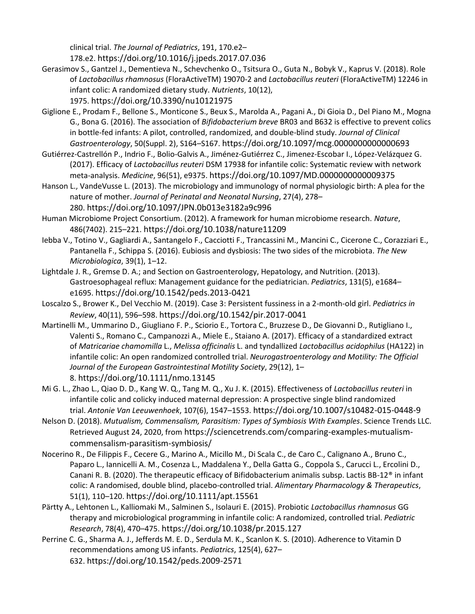clinical trial. *The Journal of Pediatrics*, 191, 170.e2– 178.e2. https://doi.org/10.1016/j.jpeds.2017.07.036

- Gerasimov S., Gantzel J., Dementieva N., Schevchenko O., Tsitsura O., Guta N., Bobyk V., Kaprus V. (2018). Role of *Lactobacillus rhamnosus* (FloraActiveTM) 19070-2 and *Lactobacillus reuteri* (FloraActiveTM) 12246 in infant colic: A randomized dietary study. *Nutrients*, 10(12),
	- 1975. https://doi.org/10.3390/nu10121975
- Giglione E., Prodam F., Bellone S., Monticone S., Beux S., Marolda A., Pagani A., Di Gioia D., Del Piano M., Mogna G., Bona G. (2016). The association of *Bifidobacterium breve* BR03 and B632 is effective to prevent colics in bottle-fed infants: A pilot, controlled, randomized, and double-blind study. *Journal of Clinical Gastroenterology*, 50(Suppl. 2), S164–S167. https://doi.org/10.1097/mcg.0000000000000693
- Gutiérrez-Castrellón P., Indrio F., Bolio-Galvis A., Jiménez-Gutiérrez C., Jimenez-Escobar I., López-Velázquez G. (2017). Efficacy of *Lactobacillus reuteri* DSM 17938 for infantile colic: Systematic review with network meta-analysis. *Medicine*, 96(51), e9375. https://doi.org/10.1097/MD.0000000000009375
- Hanson L., VandeVusse L. (2013). The microbiology and immunology of normal physiologic birth: A plea for the nature of mother. *Journal of Perinatal and Neonatal Nursing*, 27(4), 278– 280. https://doi.org/10.1097/JPN.0b013e3182a9c996
- Human Microbiome Project Consortium. (2012). A framework for human microbiome research. *Nature*, 486(7402). 215–221. https://doi.org/10.1038/nature11209
- Iebba V., Totino V., Gagliardi A., Santangelo F., Cacciotti F., Trancassini M., Mancini C., Cicerone C., Corazziari E., Pantanella F., Schippa S. (2016). Eubiosis and dysbiosis: The two sides of the microbiota. *The New Microbiologica*, 39(1), 1–12.
- Lightdale J. R., Gremse D. A.; and Section on Gastroenterology, Hepatology, and Nutrition. (2013). Gastroesophageal reflux: Management guidance for the pediatrician. *Pediatrics*, 131(5), e1684– e1695. https://doi.org/10.1542/peds.2013-0421
- Loscalzo S., Brower K., Del Vecchio M. (2019). Case 3: Persistent fussiness in a 2-month-old girl. *Pediatrics in Review*, 40(11), 596–598. https://doi.org/10.1542/pir.2017-0041
- Martinelli M., Ummarino D., Giugliano F. P., Sciorio E., Tortora C., Bruzzese D., De Giovanni D., Rutigliano I., Valenti S., Romano C., Campanozzi A., Miele E., Staiano A. (2017). Efficacy of a standardized extract of *Matricariae chamomilla* L., *Melissa officinalis* L. and tyndallized *Lactobacillus acidophilus* (HA122) in infantile colic: An open randomized controlled trial. *Neurogastroenterology and Motility: The Official Journal of the European Gastrointestinal Motility Society*, 29(12), 1– 8. https://doi.org/10.1111/nmo.13145
- Mi G. L., Zhao L., Qiao D. D., Kang W. Q., Tang M. Q., Xu J. K. (2015). Effectiveness of *Lactobacillus reuteri* in infantile colic and colicky induced maternal depression: A prospective single blind randomized trial. *Antonie Van Leeuwenhoek*, 107(6), 1547–1553. https://doi.org/10.1007/s10482-015-0448-9
- Nelson D. (2018). *Mutualism, Commensalism, Parasitism: Types of Symbiosis With Examples*. Science Trends LLC. Retrieved August 24, 2020, from https://sciencetrends.com/comparing-examples-mutualismcommensalism-parasitism-symbiosis/
- Nocerino R., De Filippis F., Cecere G., Marino A., Micillo M., Di Scala C., de Caro C., Calignano A., Bruno C., Paparo L., Iannicelli A. M., Cosenza L., Maddalena Y., Della Gatta G., Coppola S., Carucci L., Ercolini D., Canani R. B. (2020). The therapeutic efficacy of Bifidobacterium animalis subsp. Lactis BB-12® in infant colic: A randomised, double blind, placebo-controlled trial. *Alimentary Pharmacology & Therapeutics*, 51(1), 110–120. https://doi.org/10.1111/apt.15561
- Pärtty A., Lehtonen L., Kalliomaki M., Salminen S., Isolauri E. (2015). Probiotic *Lactobacillus rhamnosus* GG therapy and microbiological programming in infantile colic: A randomized, controlled trial. *Pediatric Research*, 78(4), 470–475. https://doi.org/10.1038/pr.2015.127
- Perrine C. G., Sharma A. J., Jefferds M. E. D., Serdula M. K., Scanlon K. S. (2010). Adherence to Vitamin D recommendations among US infants. *Pediatrics*, 125(4), 627– 632. https://doi.org/10.1542/peds.2009-2571